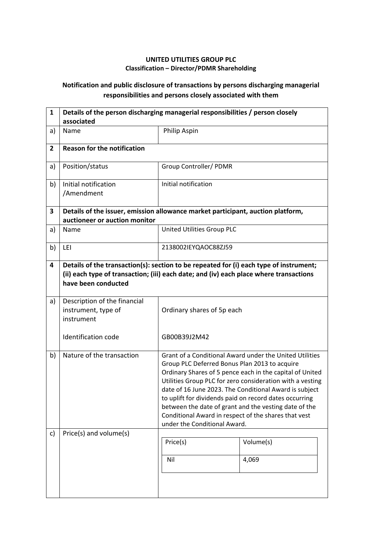## **UNITED UTILITIES GROUP PLC Classification – Director/PDMR Shareholding**

## **Notification and public disclosure of transactions by persons discharging managerial responsibilities and persons closely associated with them**

| 1              | Details of the person discharging managerial responsibilities / person closely<br>associated                     |                                                                                                                                                                                                                                                                                                                                                                                                                                                                                                        |                    |  |
|----------------|------------------------------------------------------------------------------------------------------------------|--------------------------------------------------------------------------------------------------------------------------------------------------------------------------------------------------------------------------------------------------------------------------------------------------------------------------------------------------------------------------------------------------------------------------------------------------------------------------------------------------------|--------------------|--|
| a)             | Name                                                                                                             | Philip Aspin                                                                                                                                                                                                                                                                                                                                                                                                                                                                                           |                    |  |
| $\overline{2}$ | <b>Reason for the notification</b>                                                                               |                                                                                                                                                                                                                                                                                                                                                                                                                                                                                                        |                    |  |
| a)             | Position/status                                                                                                  | Group Controller/ PDMR                                                                                                                                                                                                                                                                                                                                                                                                                                                                                 |                    |  |
| b)             | Initial notification<br>/Amendment                                                                               | Initial notification                                                                                                                                                                                                                                                                                                                                                                                                                                                                                   |                    |  |
| 3              | Details of the issuer, emission allowance market participant, auction platform,<br>auctioneer or auction monitor |                                                                                                                                                                                                                                                                                                                                                                                                                                                                                                        |                    |  |
| a)             | Name                                                                                                             | United Utilities Group PLC                                                                                                                                                                                                                                                                                                                                                                                                                                                                             |                    |  |
| b)             | LEI                                                                                                              | 2138002IEYQAOC88ZJ59                                                                                                                                                                                                                                                                                                                                                                                                                                                                                   |                    |  |
| 4              | have been conducted                                                                                              | Details of the transaction(s): section to be repeated for (i) each type of instrument;<br>(ii) each type of transaction; (iii) each date; and (iv) each place where transactions                                                                                                                                                                                                                                                                                                                       |                    |  |
| a)             | Description of the financial<br>instrument, type of<br>instrument                                                | Ordinary shares of 5p each                                                                                                                                                                                                                                                                                                                                                                                                                                                                             |                    |  |
|                | <b>Identification code</b>                                                                                       | GB00B39J2M42                                                                                                                                                                                                                                                                                                                                                                                                                                                                                           |                    |  |
| b)             | Nature of the transaction                                                                                        | Grant of a Conditional Award under the United Utilities<br>Group PLC Deferred Bonus Plan 2013 to acquire<br>Ordinary Shares of 5 pence each in the capital of United<br>Utilities Group PLC for zero consideration with a vesting<br>date of 16 June 2023. The Conditional Award is subject<br>to uplift for dividends paid on record dates occurring<br>between the date of grant and the vesting date of the<br>Conditional Award in respect of the shares that vest<br>under the Conditional Award. |                    |  |
| c)             | Price(s) and volume(s)                                                                                           | Price(s)<br>Nil                                                                                                                                                                                                                                                                                                                                                                                                                                                                                        | Volume(s)<br>4,069 |  |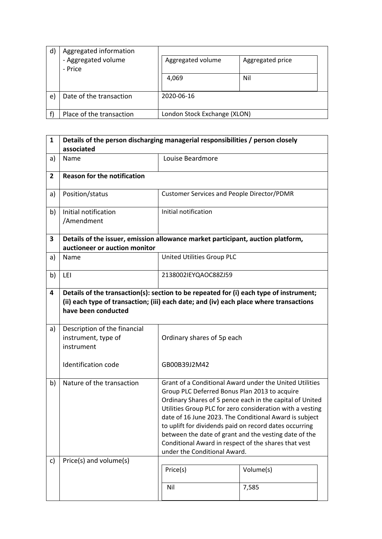| $\mathsf{d}$ | Aggregated information         |                              |                  |
|--------------|--------------------------------|------------------------------|------------------|
|              | - Aggregated volume<br>- Price | Aggregated volume            | Aggregated price |
|              |                                | 4,069                        | Nil              |
| e)           | Date of the transaction        | 2020-06-16                   |                  |
|              | Place of the transaction       | London Stock Exchange (XLON) |                  |

| $\mathbf{1}$   | Details of the person discharging managerial responsibilities / person closely<br>associated                     |                                                                                                                                                                                                                                                                                                                                                                                                                                                                                                        |  |  |
|----------------|------------------------------------------------------------------------------------------------------------------|--------------------------------------------------------------------------------------------------------------------------------------------------------------------------------------------------------------------------------------------------------------------------------------------------------------------------------------------------------------------------------------------------------------------------------------------------------------------------------------------------------|--|--|
| a)             | Name                                                                                                             | Louise Beardmore                                                                                                                                                                                                                                                                                                                                                                                                                                                                                       |  |  |
| $\overline{2}$ | <b>Reason for the notification</b>                                                                               |                                                                                                                                                                                                                                                                                                                                                                                                                                                                                                        |  |  |
| a)             | Position/status                                                                                                  | <b>Customer Services and People Director/PDMR</b>                                                                                                                                                                                                                                                                                                                                                                                                                                                      |  |  |
| b)             | Initial notification<br>/Amendment                                                                               | Initial notification                                                                                                                                                                                                                                                                                                                                                                                                                                                                                   |  |  |
| 3              | Details of the issuer, emission allowance market participant, auction platform,<br>auctioneer or auction monitor |                                                                                                                                                                                                                                                                                                                                                                                                                                                                                                        |  |  |
| a)             | Name                                                                                                             | United Utilities Group PLC                                                                                                                                                                                                                                                                                                                                                                                                                                                                             |  |  |
| b)             | LEI                                                                                                              | 2138002IEYQAOC88ZJ59                                                                                                                                                                                                                                                                                                                                                                                                                                                                                   |  |  |
| 4              | have been conducted                                                                                              | Details of the transaction(s): section to be repeated for (i) each type of instrument;<br>(ii) each type of transaction; (iii) each date; and (iv) each place where transactions                                                                                                                                                                                                                                                                                                                       |  |  |
| a)             | Description of the financial<br>instrument, type of<br>instrument                                                | Ordinary shares of 5p each                                                                                                                                                                                                                                                                                                                                                                                                                                                                             |  |  |
|                | <b>Identification code</b>                                                                                       | GB00B39J2M42                                                                                                                                                                                                                                                                                                                                                                                                                                                                                           |  |  |
| b)             | Nature of the transaction                                                                                        | Grant of a Conditional Award under the United Utilities<br>Group PLC Deferred Bonus Plan 2013 to acquire<br>Ordinary Shares of 5 pence each in the capital of United<br>Utilities Group PLC for zero consideration with a vesting<br>date of 16 June 2023. The Conditional Award is subject<br>to uplift for dividends paid on record dates occurring<br>between the date of grant and the vesting date of the<br>Conditional Award in respect of the shares that vest<br>under the Conditional Award. |  |  |
| c)             | Price(s) and volume(s)                                                                                           | Price(s)<br>Volume(s)<br>Nil<br>7,585                                                                                                                                                                                                                                                                                                                                                                                                                                                                  |  |  |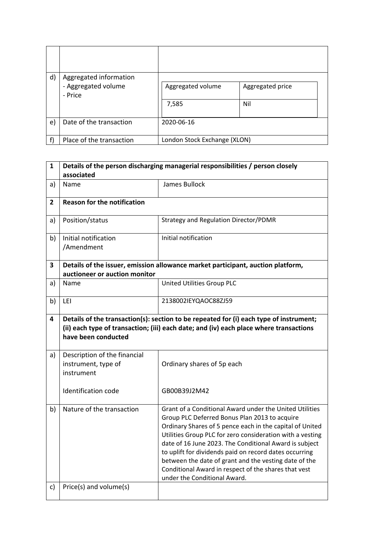| d) | Aggregated information<br>- Aggregated volume<br>- Price | Aggregated volume<br>7,585   | Aggregated price<br>Nil |
|----|----------------------------------------------------------|------------------------------|-------------------------|
| e) | Date of the transaction                                  | 2020-06-16                   |                         |
|    | Place of the transaction                                 | London Stock Exchange (XLON) |                         |

| $\mathbf{1}$ | Details of the person discharging managerial responsibilities / person closely<br>associated                                                                                                            |                                                                                                                                                                                                                                                                                                                                                                                                                                                                                                        |  |
|--------------|---------------------------------------------------------------------------------------------------------------------------------------------------------------------------------------------------------|--------------------------------------------------------------------------------------------------------------------------------------------------------------------------------------------------------------------------------------------------------------------------------------------------------------------------------------------------------------------------------------------------------------------------------------------------------------------------------------------------------|--|
| a)           | Name                                                                                                                                                                                                    | James Bullock                                                                                                                                                                                                                                                                                                                                                                                                                                                                                          |  |
| $\mathbf{2}$ | <b>Reason for the notification</b>                                                                                                                                                                      |                                                                                                                                                                                                                                                                                                                                                                                                                                                                                                        |  |
| a)           | Position/status                                                                                                                                                                                         | <b>Strategy and Regulation Director/PDMR</b>                                                                                                                                                                                                                                                                                                                                                                                                                                                           |  |
| b)           | Initial notification<br>/Amendment                                                                                                                                                                      | Initial notification                                                                                                                                                                                                                                                                                                                                                                                                                                                                                   |  |
| 3            | auctioneer or auction monitor                                                                                                                                                                           | Details of the issuer, emission allowance market participant, auction platform,                                                                                                                                                                                                                                                                                                                                                                                                                        |  |
| a)           | Name                                                                                                                                                                                                    | United Utilities Group PLC                                                                                                                                                                                                                                                                                                                                                                                                                                                                             |  |
| b)           | LEI                                                                                                                                                                                                     | 2138002IEYQAOC88ZJ59                                                                                                                                                                                                                                                                                                                                                                                                                                                                                   |  |
| 4            | Details of the transaction(s): section to be repeated for (i) each type of instrument;<br>(ii) each type of transaction; (iii) each date; and (iv) each place where transactions<br>have been conducted |                                                                                                                                                                                                                                                                                                                                                                                                                                                                                                        |  |
| a)           | Description of the financial<br>instrument, type of<br>instrument                                                                                                                                       | Ordinary shares of 5p each                                                                                                                                                                                                                                                                                                                                                                                                                                                                             |  |
|              | <b>Identification code</b>                                                                                                                                                                              | GB00B39J2M42                                                                                                                                                                                                                                                                                                                                                                                                                                                                                           |  |
| b)           | Nature of the transaction                                                                                                                                                                               | Grant of a Conditional Award under the United Utilities<br>Group PLC Deferred Bonus Plan 2013 to acquire<br>Ordinary Shares of 5 pence each in the capital of United<br>Utilities Group PLC for zero consideration with a vesting<br>date of 16 June 2023. The Conditional Award is subject<br>to uplift for dividends paid on record dates occurring<br>between the date of grant and the vesting date of the<br>Conditional Award in respect of the shares that vest<br>under the Conditional Award. |  |
| c)           | Price(s) and volume(s)                                                                                                                                                                                  |                                                                                                                                                                                                                                                                                                                                                                                                                                                                                                        |  |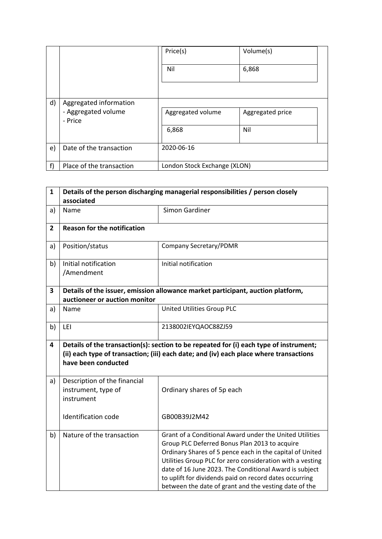|    |                                                          | Price(s)                     | Volume(s)               |
|----|----------------------------------------------------------|------------------------------|-------------------------|
|    |                                                          | Nil                          | 6,868                   |
| d) | Aggregated information<br>- Aggregated volume<br>- Price | Aggregated volume<br>6,868   | Aggregated price<br>Nil |
| e) | Date of the transaction                                  | 2020-06-16                   |                         |
| f) | Place of the transaction                                 | London Stock Exchange (XLON) |                         |

| $\mathbf{1}$   | Details of the person discharging managerial responsibilities / person closely<br>associated    |                                                                                                                                                                                  |  |
|----------------|-------------------------------------------------------------------------------------------------|----------------------------------------------------------------------------------------------------------------------------------------------------------------------------------|--|
| a)             | Name                                                                                            | Simon Gardiner                                                                                                                                                                   |  |
| $\overline{2}$ | <b>Reason for the notification</b>                                                              |                                                                                                                                                                                  |  |
| a)             | Position/status                                                                                 | <b>Company Secretary/PDMR</b>                                                                                                                                                    |  |
| b)             | Initial notification<br>/Amendment                                                              | Initial notification                                                                                                                                                             |  |
| 3              | auctioneer or auction monitor                                                                   | Details of the issuer, emission allowance market participant, auction platform,                                                                                                  |  |
| a)             | Name                                                                                            | United Utilities Group PLC                                                                                                                                                       |  |
| b)             | LEI                                                                                             | 2138002IEYQAOC88ZJ59                                                                                                                                                             |  |
| 4              | have been conducted                                                                             | Details of the transaction(s): section to be repeated for (i) each type of instrument;<br>(ii) each type of transaction; (iii) each date; and (iv) each place where transactions |  |
| a)             | Description of the financial<br>instrument, type of<br>instrument<br><b>Identification code</b> | Ordinary shares of 5p each<br>GB00B39J2M42                                                                                                                                       |  |
| b)             | Nature of the transaction                                                                       | Grant of a Conditional Award under the United Utilities                                                                                                                          |  |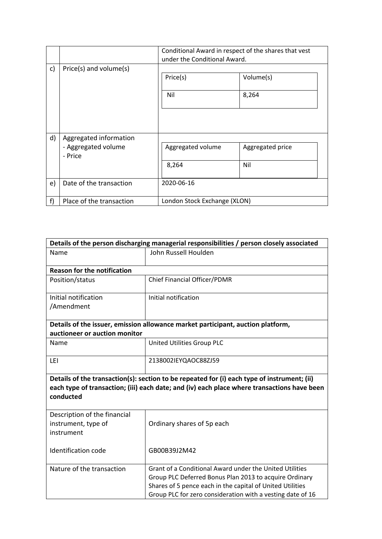|    |                                                          | Conditional Award in respect of the shares that vest<br>under the Conditional Award. |                         |
|----|----------------------------------------------------------|--------------------------------------------------------------------------------------|-------------------------|
| c) | Price(s) and volume(s)                                   | Price(s)<br>Nil                                                                      | Volume(s)<br>8,264      |
| d) | Aggregated information<br>- Aggregated volume<br>- Price | Aggregated volume<br>8,264                                                           | Aggregated price<br>Nil |
| e) | Date of the transaction                                  | 2020-06-16                                                                           |                         |
| f) | Place of the transaction                                 | London Stock Exchange (XLON)                                                         |                         |

| Details of the person discharging managerial responsibilities / person closely associated                                                                                                               |                                                                                                                                                                                |  |  |
|---------------------------------------------------------------------------------------------------------------------------------------------------------------------------------------------------------|--------------------------------------------------------------------------------------------------------------------------------------------------------------------------------|--|--|
| Name                                                                                                                                                                                                    | John Russell Houlden                                                                                                                                                           |  |  |
| <b>Reason for the notification</b>                                                                                                                                                                      |                                                                                                                                                                                |  |  |
| Position/status                                                                                                                                                                                         | <b>Chief Financial Officer/PDMR</b>                                                                                                                                            |  |  |
| Initial notification                                                                                                                                                                                    | Initial notification                                                                                                                                                           |  |  |
| /Amendment                                                                                                                                                                                              |                                                                                                                                                                                |  |  |
|                                                                                                                                                                                                         | Details of the issuer, emission allowance market participant, auction platform,                                                                                                |  |  |
| auctioneer or auction monitor                                                                                                                                                                           |                                                                                                                                                                                |  |  |
| Name                                                                                                                                                                                                    | United Utilities Group PLC                                                                                                                                                     |  |  |
| LEI                                                                                                                                                                                                     | 2138002IEYQAOC88ZJ59                                                                                                                                                           |  |  |
| Details of the transaction(s): section to be repeated for (i) each type of instrument; (ii)<br>each type of transaction; (iii) each date; and (iv) each place where transactions have been<br>conducted |                                                                                                                                                                                |  |  |
| Description of the financial<br>instrument, type of<br>instrument                                                                                                                                       | Ordinary shares of 5p each                                                                                                                                                     |  |  |
| <b>Identification code</b>                                                                                                                                                                              | GB00B39J2M42                                                                                                                                                                   |  |  |
| Nature of the transaction                                                                                                                                                                               | Grant of a Conditional Award under the United Utilities<br>Group PLC Deferred Bonus Plan 2013 to acquire Ordinary<br>Shares of 5 pence each in the capital of United Utilities |  |  |
|                                                                                                                                                                                                         | Group PLC for zero consideration with a vesting date of 16                                                                                                                     |  |  |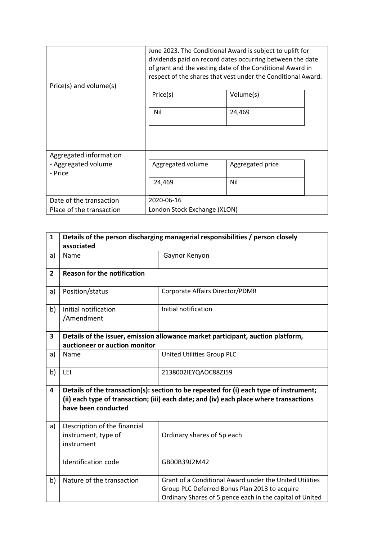| Price(s) and volume(s)         | June 2023. The Conditional Award is subject to uplift for<br>dividends paid on record dates occurring between the date<br>of grant and the vesting date of the Conditional Award in<br>respect of the shares that vest under the Conditional Award. |                  |
|--------------------------------|-----------------------------------------------------------------------------------------------------------------------------------------------------------------------------------------------------------------------------------------------------|------------------|
|                                | Price(s)                                                                                                                                                                                                                                            | Volume(s)        |
|                                | Nil                                                                                                                                                                                                                                                 | 24,469           |
|                                |                                                                                                                                                                                                                                                     |                  |
| Aggregated information         |                                                                                                                                                                                                                                                     |                  |
| - Aggregated volume<br>- Price | Aggregated volume                                                                                                                                                                                                                                   | Aggregated price |
|                                | 24,469                                                                                                                                                                                                                                              | Nil              |
| Date of the transaction        | 2020-06-16                                                                                                                                                                                                                                          |                  |
| Place of the transaction       | London Stock Exchange (XLON)                                                                                                                                                                                                                        |                  |

| $\mathbf{1}$   | Details of the person discharging managerial responsibilities / person closely<br>associated                                                                                                            |                                                                                                                                                                      |  |
|----------------|---------------------------------------------------------------------------------------------------------------------------------------------------------------------------------------------------------|----------------------------------------------------------------------------------------------------------------------------------------------------------------------|--|
| a)             | Name                                                                                                                                                                                                    | Gaynor Kenyon                                                                                                                                                        |  |
| $\overline{2}$ | <b>Reason for the notification</b>                                                                                                                                                                      |                                                                                                                                                                      |  |
| a)             | Position/status                                                                                                                                                                                         | Corporate Affairs Director/PDMR                                                                                                                                      |  |
| b)             | Initial notification<br>/Amendment                                                                                                                                                                      | Initial notification                                                                                                                                                 |  |
| 3              | auctioneer or auction monitor                                                                                                                                                                           | Details of the issuer, emission allowance market participant, auction platform,                                                                                      |  |
| a)             | Name                                                                                                                                                                                                    | United Utilities Group PLC                                                                                                                                           |  |
| b)             | LEI                                                                                                                                                                                                     | 2138002IEYQAOC88ZJ59                                                                                                                                                 |  |
| 4              | Details of the transaction(s): section to be repeated for (i) each type of instrument;<br>(ii) each type of transaction; (iii) each date; and (iv) each place where transactions<br>have been conducted |                                                                                                                                                                      |  |
| a)             | Description of the financial<br>instrument, type of<br>instrument                                                                                                                                       | Ordinary shares of 5p each                                                                                                                                           |  |
|                | Identification code                                                                                                                                                                                     | GB00B39J2M42                                                                                                                                                         |  |
| b)             | Nature of the transaction                                                                                                                                                                               | Grant of a Conditional Award under the United Utilities<br>Group PLC Deferred Bonus Plan 2013 to acquire<br>Ordinary Shares of 5 pence each in the capital of United |  |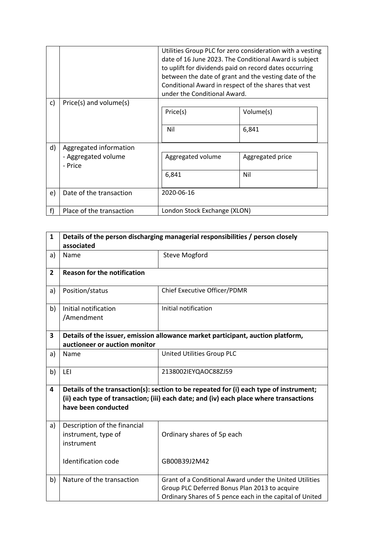|    |                                                          | Utilities Group PLC for zero consideration with a vesting<br>date of 16 June 2023. The Conditional Award is subject<br>to uplift for dividends paid on record dates occurring<br>between the date of grant and the vesting date of the<br>Conditional Award in respect of the shares that vest<br>under the Conditional Award. |                         |
|----|----------------------------------------------------------|--------------------------------------------------------------------------------------------------------------------------------------------------------------------------------------------------------------------------------------------------------------------------------------------------------------------------------|-------------------------|
| c) | Price(s) and volume(s)                                   | Price(s)<br>Nil                                                                                                                                                                                                                                                                                                                | Volume(s)<br>6,841      |
| d) | Aggregated information<br>- Aggregated volume<br>- Price | Aggregated volume<br>6,841                                                                                                                                                                                                                                                                                                     | Aggregated price<br>Nil |
| e) | Date of the transaction                                  | 2020-06-16                                                                                                                                                                                                                                                                                                                     |                         |
| f) | Place of the transaction                                 | London Stock Exchange (XLON)                                                                                                                                                                                                                                                                                                   |                         |

| $\mathbf{1}$ | Details of the person discharging managerial responsibilities / person closely<br>associated                                                                                                            |                                                                                                                                                                      |  |
|--------------|---------------------------------------------------------------------------------------------------------------------------------------------------------------------------------------------------------|----------------------------------------------------------------------------------------------------------------------------------------------------------------------|--|
| a)           | Name                                                                                                                                                                                                    | <b>Steve Mogford</b>                                                                                                                                                 |  |
| $\mathbf{2}$ | <b>Reason for the notification</b>                                                                                                                                                                      |                                                                                                                                                                      |  |
| a)           | Position/status                                                                                                                                                                                         | <b>Chief Executive Officer/PDMR</b>                                                                                                                                  |  |
| b)           | Initial notification<br>/Amendment                                                                                                                                                                      | Initial notification                                                                                                                                                 |  |
| 3            | Details of the issuer, emission allowance market participant, auction platform,<br>auctioneer or auction monitor                                                                                        |                                                                                                                                                                      |  |
| a)           | Name                                                                                                                                                                                                    | United Utilities Group PLC                                                                                                                                           |  |
| b)           | LEI                                                                                                                                                                                                     | 2138002IEYQAOC88ZJ59                                                                                                                                                 |  |
| 4            | Details of the transaction(s): section to be repeated for (i) each type of instrument;<br>(ii) each type of transaction; (iii) each date; and (iv) each place where transactions<br>have been conducted |                                                                                                                                                                      |  |
| a)           | Description of the financial<br>instrument, type of<br>instrument                                                                                                                                       | Ordinary shares of 5p each                                                                                                                                           |  |
|              | <b>Identification code</b>                                                                                                                                                                              | GB00B39J2M42                                                                                                                                                         |  |
| b)           | Nature of the transaction                                                                                                                                                                               | Grant of a Conditional Award under the United Utilities<br>Group PLC Deferred Bonus Plan 2013 to acquire<br>Ordinary Shares of 5 pence each in the capital of United |  |